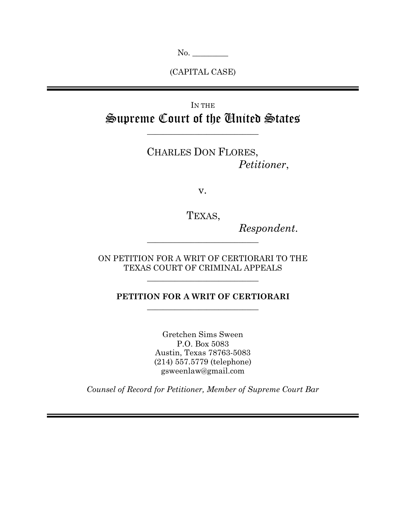No. \_\_\_\_\_\_\_\_\_

(CAPITAL CASE)

# IN THE Supreme Court of the United States

 $\overline{\phantom{a}}$  , where  $\overline{\phantom{a}}$  , where  $\overline{\phantom{a}}$  ,  $\overline{\phantom{a}}$  ,  $\overline{\phantom{a}}$  ,  $\overline{\phantom{a}}$  ,  $\overline{\phantom{a}}$  ,  $\overline{\phantom{a}}$  ,  $\overline{\phantom{a}}$  ,  $\overline{\phantom{a}}$  ,  $\overline{\phantom{a}}$  ,  $\overline{\phantom{a}}$  ,  $\overline{\phantom{a}}$  ,  $\overline{\phantom{a}}$  ,  $\overline{\phantom{a}}$  ,

CHARLES DON FLORES, *Petitioner*,

v.

TEXAS,

 $\overline{\phantom{a}}$  , where  $\overline{\phantom{a}}$  , where  $\overline{\phantom{a}}$  ,  $\overline{\phantom{a}}$  ,  $\overline{\phantom{a}}$  ,  $\overline{\phantom{a}}$  ,  $\overline{\phantom{a}}$  ,  $\overline{\phantom{a}}$  ,  $\overline{\phantom{a}}$  ,  $\overline{\phantom{a}}$  ,  $\overline{\phantom{a}}$  ,  $\overline{\phantom{a}}$  ,  $\overline{\phantom{a}}$  ,  $\overline{\phantom{a}}$  ,  $\overline{\phantom{a}}$  ,

*Respondent*.

ON PETITION FOR A WRIT OF CERTIORARI TO THE TEXAS COURT OF CRIMINAL APPEALS

 $\overline{\phantom{a}}$  , where  $\overline{\phantom{a}}$  , where  $\overline{\phantom{a}}$  ,  $\overline{\phantom{a}}$  ,  $\overline{\phantom{a}}$  ,  $\overline{\phantom{a}}$  ,  $\overline{\phantom{a}}$  ,  $\overline{\phantom{a}}$  ,  $\overline{\phantom{a}}$  ,  $\overline{\phantom{a}}$  ,  $\overline{\phantom{a}}$  ,  $\overline{\phantom{a}}$  ,  $\overline{\phantom{a}}$  ,  $\overline{\phantom{a}}$  ,  $\overline{\phantom{a}}$  ,

## **PETITION FOR A WRIT OF CERTIORARI**  $\overline{\phantom{a}}$  , where  $\overline{\phantom{a}}$  , where  $\overline{\phantom{a}}$  ,  $\overline{\phantom{a}}$  ,  $\overline{\phantom{a}}$  ,  $\overline{\phantom{a}}$  ,  $\overline{\phantom{a}}$  ,  $\overline{\phantom{a}}$  ,  $\overline{\phantom{a}}$  ,  $\overline{\phantom{a}}$  ,  $\overline{\phantom{a}}$  ,  $\overline{\phantom{a}}$  ,  $\overline{\phantom{a}}$  ,  $\overline{\phantom{a}}$  ,  $\overline{\phantom{a}}$  ,

Gretchen Sims Sween P.O. Box 5083 Austin, Texas 78763-5083 (214) 557.5779 (telephone) gsweenlaw@gmail.com

*Counsel of Record for Petitioner, Member of Supreme Court Bar*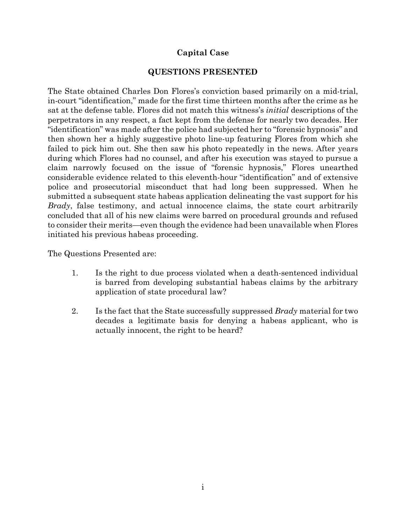# **Capital Case**

## **QUESTIONS PRESENTED**

<span id="page-1-0"></span>The State obtained Charles Don Flores's conviction based primarily on a mid-trial, in-court "identification," made for the first time thirteen months after the crime as he sat at the defense table. Flores did not match this witness's *initial* descriptions of the perpetrators in any respect, a fact kept from the defense for nearly two decades. Her "identification" was made after the police had subjected her to "forensic hypnosis" and then shown her a highly suggestive photo line-up featuring Flores from which she failed to pick him out. She then saw his photo repeatedly in the news. After years during which Flores had no counsel, and after his execution was stayed to pursue a claim narrowly focused on the issue of "forensic hypnosis," Flores unearthed considerable evidence related to this eleventh-hour "identification" and of extensive police and prosecutorial misconduct that had long been suppressed. When he submitted a subsequent state habeas application delineating the vast support for his *Brady*, false testimony, and actual innocence claims, the state court arbitrarily concluded that all of his new claims were barred on procedural grounds and refused to consider their merits—even though the evidence had been unavailable when Flores initiated his previous habeas proceeding.

The Questions Presented are:

- 1. Is the right to due process violated when a death-sentenced individual is barred from developing substantial habeas claims by the arbitrary application of state procedural law?
- 2. Is the fact that the State successfully suppressed *Brady* material for two decades a legitimate basis for denying a habeas applicant, who is actually innocent, the right to be heard?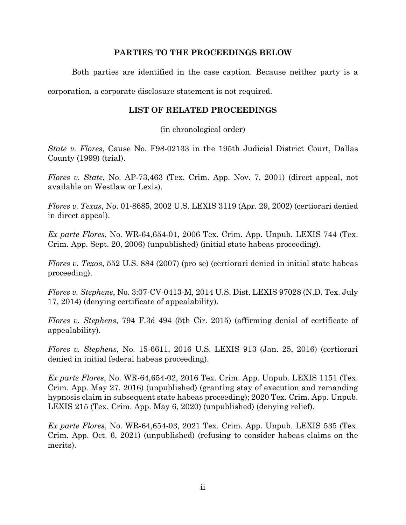### **PARTIES TO THE PROCEEDINGS BELOW**

<span id="page-2-0"></span>Both parties are identified in the case caption. Because neither party is a

<span id="page-2-1"></span>corporation, a corporate disclosure statement is not required.

### **LIST OF RELATED PROCEEDINGS**

(in chronological order)

*State v. Flores*, Cause No. F98-02133 in the 195th Judicial District Court, Dallas County (1999) (trial).

*Flores v. State*, No. AP-73,463 (Tex. Crim. App. Nov. 7, 2001) (direct appeal, not available on Westlaw or Lexis).

*Flores v. Texas*, No. 01-8685, 2002 U.S. LEXIS 3119 (Apr. 29, 2002) (certiorari denied in direct appeal).

*Ex parte Flores*, No. WR-64,654-01, 2006 Tex. Crim. App. Unpub. LEXIS 744 (Tex. Crim. App. Sept. 20, 2006) (unpublished) (initial state habeas proceeding).

*Flores v. Texas*, 552 U.S. 884 (2007) (pro se) (certiorari denied in initial state habeas proceeding).

*Flores v. Stephens*, No. 3:07-CV-0413-M, 2014 U.S. Dist. LEXIS 97028 (N.D. Tex. July 17, 2014) (denying certificate of appealability).

*Flores v. Stephens*, 794 F.3d 494 (5th Cir. 2015) (affirming denial of certificate of appealability).

*Flores v. Stephens*, No. 15-6611, 2016 U.S. LEXIS 913 (Jan. 25, 2016) (certiorari denied in initial federal habeas proceeding).

*Ex parte Flores*, No. WR-64,654-02, 2016 Tex. Crim. App. Unpub. LEXIS 1151 (Tex. Crim. App. May 27, 2016) (unpublished) (granting stay of execution and remanding hypnosis claim in subsequent state habeas proceeding); 2020 Tex. Crim. App. Unpub. LEXIS 215 (Tex. Crim. App. May 6, 2020) (unpublished) (denying relief).

*Ex parte Flores*, No. WR-64,654-03, 2021 Tex. Crim. App. Unpub. LEXIS 535 (Tex. Crim. App. Oct. 6, 2021) (unpublished) (refusing to consider habeas claims on the merits).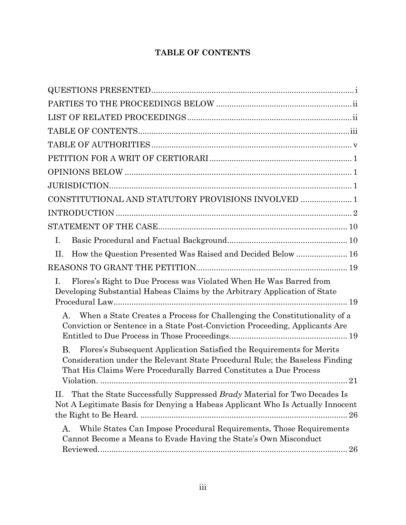# **TABLE OF CONTENTS**

<span id="page-3-0"></span>

| CONSTITUTIONAL AND STATUTORY PROVISIONS INVOLVED  1                                                                                                                                                                                                         |
|-------------------------------------------------------------------------------------------------------------------------------------------------------------------------------------------------------------------------------------------------------------|
|                                                                                                                                                                                                                                                             |
|                                                                                                                                                                                                                                                             |
| I.                                                                                                                                                                                                                                                          |
| How the Question Presented Was Raised and Decided Below  16<br>Η.                                                                                                                                                                                           |
|                                                                                                                                                                                                                                                             |
| Flores's Right to Due Process was Violated When He Was Barred from<br>I.<br>Developing Substantial Habeas Claims by the Arbitrary Application of State                                                                                                      |
| When a State Creates a Process for Challenging the Constitutionality of a<br>Α.<br>Conviction or Sentence in a State Post-Conviction Proceeding, Applicants Are                                                                                             |
| <b>B.</b><br>Flores's Subsequent Application Satisfied the Requirements for Merits<br>Consideration under the Relevant State Procedural Rule; the Baseless Finding<br>That His Claims Were Procedurally Barred Constitutes a Due Process<br>Violation<br>21 |
| That the State Successfully Suppressed Brady Material for Two Decades Is<br>Π.<br>Not A Legitimate Basis for Denying a Habeas Applicant Who Is Actually Innocent                                                                                            |
| While States Can Impose Procedural Requirements, Those Requirements<br>А.<br>Cannot Become a Means to Evade Having the State's Own Misconduct<br>26                                                                                                         |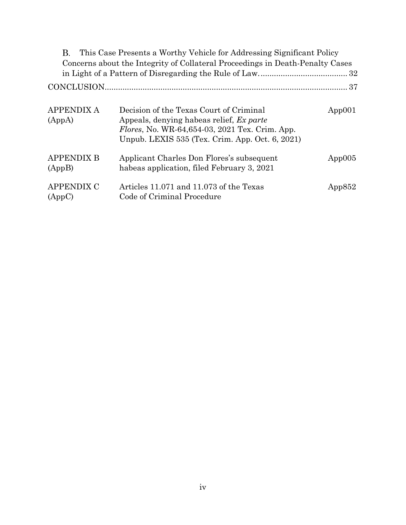| В.                          | This Case Presents a Worthy Vehicle for Addressing Significant Policy                                                                                                                            |           |
|-----------------------------|--------------------------------------------------------------------------------------------------------------------------------------------------------------------------------------------------|-----------|
|                             | Concerns about the Integrity of Collateral Proceedings in Death-Penalty Cases                                                                                                                    |           |
|                             |                                                                                                                                                                                                  |           |
|                             |                                                                                                                                                                                                  |           |
| <b>APPENDIX A</b><br>(AppA) | Decision of the Texas Court of Criminal<br>Appeals, denying habeas relief, Ex parte<br><i>Flores</i> , No. WR-64,654-03, 2021 Tex. Crim. App.<br>Unpub. LEXIS 535 (Tex. Crim. App. Oct. 6, 2021) | App001    |
| <b>APPENDIX B</b><br>(AppB) | Applicant Charles Don Flores's subsequent<br>habeas application, filed February 3, 2021                                                                                                          | App005    |
| <b>APPENDIX C</b><br>(AppC) | Articles 11.071 and 11.073 of the Texas<br>Code of Criminal Procedure                                                                                                                            | App $852$ |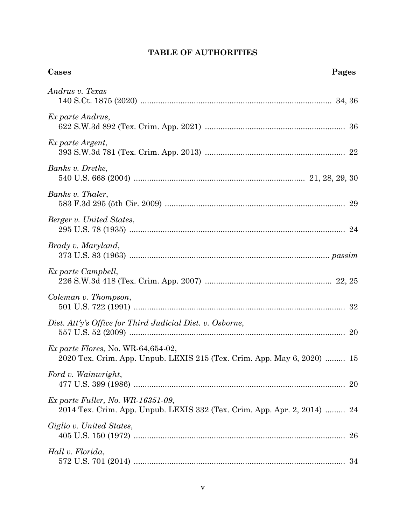# **TABLE OF AUTHORITIES**

<span id="page-5-0"></span>

| Cases                                                                                                             | Pages |
|-------------------------------------------------------------------------------------------------------------------|-------|
| Andrus v. Texas                                                                                                   |       |
| Ex parte Andrus,                                                                                                  |       |
| Ex parte Argent,                                                                                                  |       |
| Banks v. Dretke,                                                                                                  |       |
| Banks v. Thaler,                                                                                                  |       |
| Berger v. United States,                                                                                          |       |
| Brady v. Maryland,                                                                                                |       |
| Ex parte Campbell,                                                                                                |       |
| Coleman v. Thompson,                                                                                              |       |
| Dist. Att'y's Office for Third Judicial Dist. v. Osborne,                                                         |       |
| Ex parte Flores, No. WR-64,654-02,<br>2020 Tex. Crim. App. Unpub. LEXIS 215 (Tex. Crim. App. May 6, 2020)  15     |       |
| Ford v. Wainwright,                                                                                               | 20    |
| $Ex\ part$ e Fuller, No. WR-16351-09,<br>2014 Tex. Crim. App. Unpub. LEXIS 332 (Tex. Crim. App. Apr. 2, 2014)  24 |       |
| Giglio v. United States,                                                                                          | 26    |
| Hall v. Florida,                                                                                                  |       |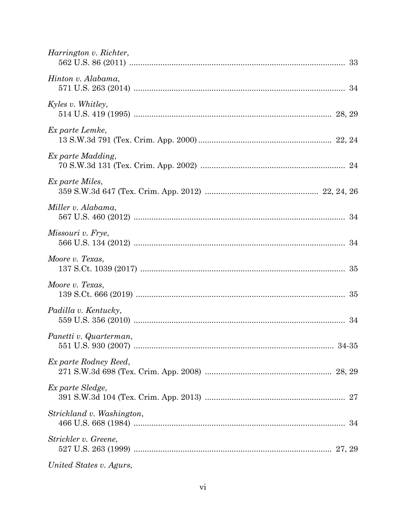| Harrington v. Richter,    |
|---------------------------|
| Hinton v. Alabama,        |
| Kyles v. Whitley,         |
| Ex parte Lemke,           |
| Ex parte Madding,         |
| Ex parte Miles,           |
| Miller v. Alabama,        |
| Missouri v. Frye,         |
| Moore v. Texas,           |
| Moore v. Texas,           |
| Padilla v. Kentucky,      |
| Panetti v. Quarterman,    |
| Ex parte Rodney Reed,     |
| Ex parte Sledge,          |
| Strickland v. Washington, |
| Strickler v. Greene,      |
| United States v. Agurs,   |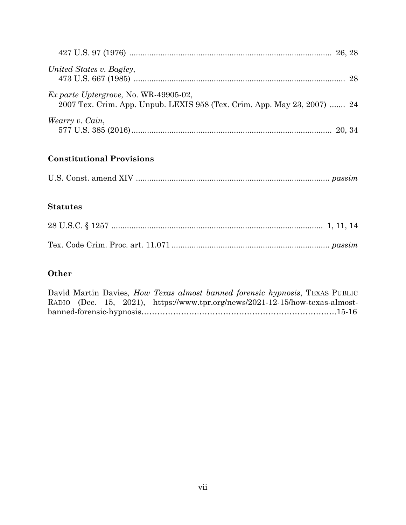| United States v. Bagley,                                                                                                 |  |
|--------------------------------------------------------------------------------------------------------------------------|--|
| <i>Ex parte Uptergrove, No. WR-49905-02,</i><br>2007 Tex. Crim. App. Unpub. LEXIS 958 (Tex. Crim. App. May 23, 2007)  24 |  |
| Wearry v. Cain,                                                                                                          |  |

# **Constitutional Provisions**

# **Statutes**

# **Other**

|  |  |  |  | David Martin Davies, How Texas almost banned forensic hypnosis, TEXAS PUBLIC |  |
|--|--|--|--|------------------------------------------------------------------------------|--|
|  |  |  |  | RADIO (Dec. 15, 2021), https://www.tpr.org/news/2021-12-15/how-texas-almost- |  |
|  |  |  |  |                                                                              |  |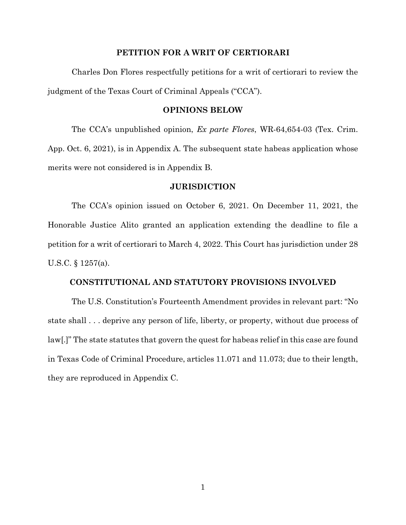#### **PETITION FOR A WRIT OF CERTIORARI**

<span id="page-8-0"></span>Charles Don Flores respectfully petitions for a writ of certiorari to review the judgment of the Texas Court of Criminal Appeals ("CCA").

#### **OPINIONS BELOW**

<span id="page-8-1"></span>The CCA's unpublished opinion, *Ex parte Flores*, WR-64,654-03 (Tex. Crim. App. Oct. 6, 2021), is in Appendix A. The subsequent state habeas application whose merits were not considered is in Appendix B.

#### **JURISDICTION**

<span id="page-8-2"></span>The CCA's opinion issued on October 6, 2021. On December 11, 2021, the Honorable Justice Alito granted an application extending the deadline to file a petition for a writ of certiorari to March 4, 2022. This Court has jurisdiction under 28 U.S.C. § 1257(a).

### **CONSTITUTIONAL AND STATUTORY PROVISIONS INVOLVED**

<span id="page-8-3"></span>The U.S. Constitution's Fourteenth Amendment provides in relevant part: "No state shall . . . deprive any person of life, liberty, or property, without due process of law[.]" The state statutes that govern the quest for habeas relief in this case are found in Texas Code of Criminal Procedure, articles 11.071 and 11.073; due to their length, they are reproduced in Appendix C.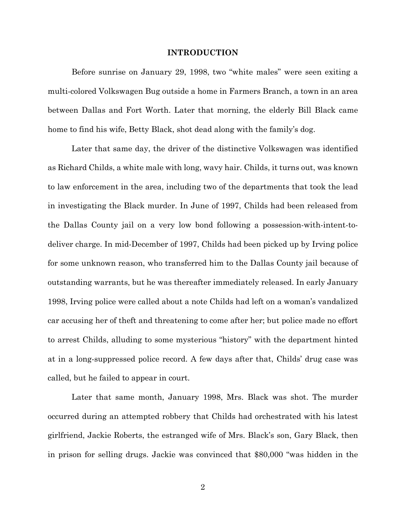#### **INTRODUCTION**

<span id="page-9-0"></span>Before sunrise on January 29, 1998, two "white males" were seen exiting a multi-colored Volkswagen Bug outside a home in Farmers Branch, a town in an area between Dallas and Fort Worth. Later that morning, the elderly Bill Black came home to find his wife, Betty Black, shot dead along with the family's dog.

Later that same day, the driver of the distinctive Volkswagen was identified as Richard Childs, a white male with long, wavy hair. Childs, it turns out, was known to law enforcement in the area, including two of the departments that took the lead in investigating the Black murder. In June of 1997, Childs had been released from the Dallas County jail on a very low bond following a possession-with-intent-todeliver charge. In mid-December of 1997, Childs had been picked up by Irving police for some unknown reason, who transferred him to the Dallas County jail because of outstanding warrants, but he was thereafter immediately released. In early January 1998, Irving police were called about a note Childs had left on a woman's vandalized car accusing her of theft and threatening to come after her; but police made no effort to arrest Childs, alluding to some mysterious "history" with the department hinted at in a long-suppressed police record. A few days after that, Childs' drug case was called, but he failed to appear in court.

Later that same month, January 1998, Mrs. Black was shot. The murder occurred during an attempted robbery that Childs had orchestrated with his latest girlfriend, Jackie Roberts, the estranged wife of Mrs. Black's son, Gary Black, then in prison for selling drugs. Jackie was convinced that \$80,000 "was hidden in the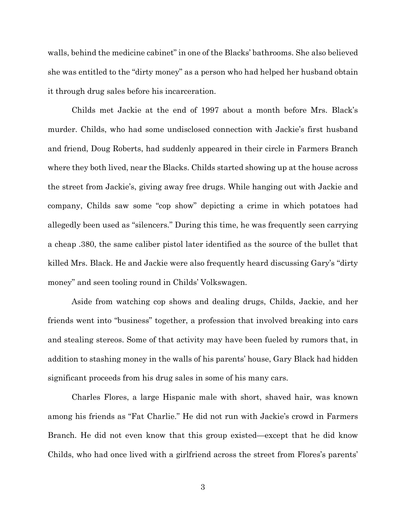walls, behind the medicine cabinet" in one of the Blacks' bathrooms. She also believed she was entitled to the "dirty money" as a person who had helped her husband obtain it through drug sales before his incarceration.

Childs met Jackie at the end of 1997 about a month before Mrs. Black's murder. Childs, who had some undisclosed connection with Jackie's first husband and friend, Doug Roberts, had suddenly appeared in their circle in Farmers Branch where they both lived, near the Blacks. Childs started showing up at the house across the street from Jackie's, giving away free drugs. While hanging out with Jackie and company, Childs saw some "cop show" depicting a crime in which potatoes had allegedly been used as "silencers." During this time, he was frequently seen carrying a cheap .380, the same caliber pistol later identified as the source of the bullet that killed Mrs. Black. He and Jackie were also frequently heard discussing Gary's "dirty money" and seen tooling round in Childs' Volkswagen.

Aside from watching cop shows and dealing drugs, Childs, Jackie, and her friends went into "business" together, a profession that involved breaking into cars and stealing stereos. Some of that activity may have been fueled by rumors that, in addition to stashing money in the walls of his parents' house, Gary Black had hidden significant proceeds from his drug sales in some of his many cars.

Charles Flores, a large Hispanic male with short, shaved hair, was known among his friends as "Fat Charlie." He did not run with Jackie's crowd in Farmers Branch. He did not even know that this group existed—except that he did know Childs, who had once lived with a girlfriend across the street from Flores's parents'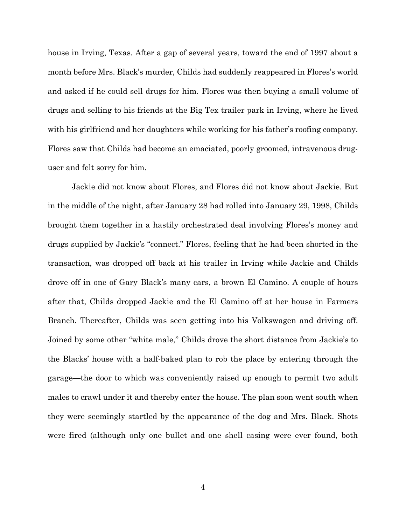house in Irving, Texas. After a gap of several years, toward the end of 1997 about a month before Mrs. Black's murder, Childs had suddenly reappeared in Flores's world and asked if he could sell drugs for him. Flores was then buying a small volume of drugs and selling to his friends at the Big Tex trailer park in Irving, where he lived with his girlfriend and her daughters while working for his father's roofing company. Flores saw that Childs had become an emaciated, poorly groomed, intravenous druguser and felt sorry for him.

Jackie did not know about Flores, and Flores did not know about Jackie. But in the middle of the night, after January 28 had rolled into January 29, 1998, Childs brought them together in a hastily orchestrated deal involving Flores's money and drugs supplied by Jackie's "connect." Flores, feeling that he had been shorted in the transaction, was dropped off back at his trailer in Irving while Jackie and Childs drove off in one of Gary Black's many cars, a brown El Camino. A couple of hours after that, Childs dropped Jackie and the El Camino off at her house in Farmers Branch. Thereafter, Childs was seen getting into his Volkswagen and driving off. Joined by some other "white male," Childs drove the short distance from Jackie's to the Blacks' house with a half-baked plan to rob the place by entering through the garage—the door to which was conveniently raised up enough to permit two adult males to crawl under it and thereby enter the house. The plan soon went south when they were seemingly startled by the appearance of the dog and Mrs. Black. Shots were fired (although only one bullet and one shell casing were ever found, both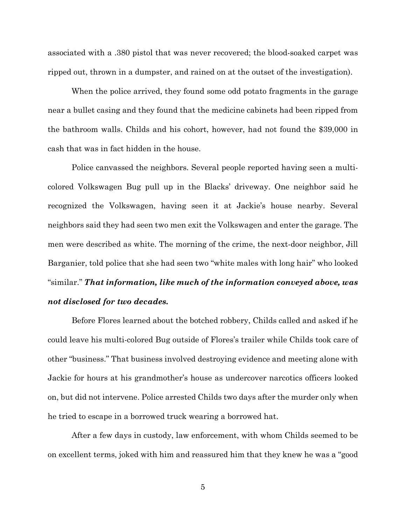associated with a .380 pistol that was never recovered; the blood-soaked carpet was ripped out, thrown in a dumpster, and rained on at the outset of the investigation).

When the police arrived, they found some odd potato fragments in the garage near a bullet casing and they found that the medicine cabinets had been ripped from the bathroom walls. Childs and his cohort, however, had not found the \$39,000 in cash that was in fact hidden in the house.

Police canvassed the neighbors. Several people reported having seen a multicolored Volkswagen Bug pull up in the Blacks' driveway. One neighbor said he recognized the Volkswagen, having seen it at Jackie's house nearby. Several neighbors said they had seen two men exit the Volkswagen and enter the garage. The men were described as white. The morning of the crime, the next-door neighbor, Jill Barganier, told police that she had seen two "white males with long hair" who looked "similar." *That information, like much of the information conveyed above, was not disclosed for two decades.*

Before Flores learned about the botched robbery, Childs called and asked if he could leave his multi-colored Bug outside of Flores's trailer while Childs took care of other "business." That business involved destroying evidence and meeting alone with Jackie for hours at his grandmother's house as undercover narcotics officers looked on, but did not intervene. Police arrested Childs two days after the murder only when he tried to escape in a borrowed truck wearing a borrowed hat.

After a few days in custody, law enforcement, with whom Childs seemed to be on excellent terms, joked with him and reassured him that they knew he was a "good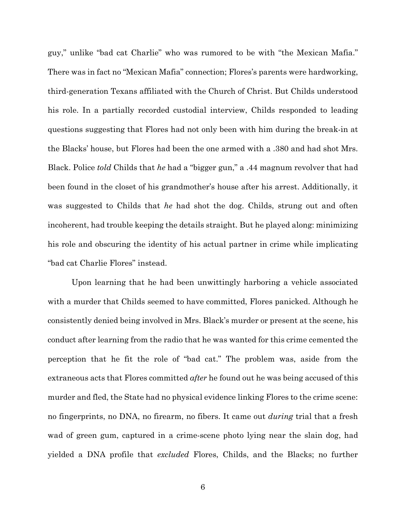guy," unlike "bad cat Charlie" who was rumored to be with "the Mexican Mafia." There was in fact no "Mexican Mafia" connection; Flores's parents were hardworking, third-generation Texans affiliated with the Church of Christ. But Childs understood his role. In a partially recorded custodial interview, Childs responded to leading questions suggesting that Flores had not only been with him during the break-in at the Blacks' house, but Flores had been the one armed with a .380 and had shot Mrs. Black. Police *told* Childs that *he* had a "bigger gun," a .44 magnum revolver that had been found in the closet of his grandmother's house after his arrest. Additionally, it was suggested to Childs that *he* had shot the dog. Childs, strung out and often incoherent, had trouble keeping the details straight. But he played along: minimizing his role and obscuring the identity of his actual partner in crime while implicating "bad cat Charlie Flores" instead.

Upon learning that he had been unwittingly harboring a vehicle associated with a murder that Childs seemed to have committed, Flores panicked. Although he consistently denied being involved in Mrs. Black's murder or present at the scene, his conduct after learning from the radio that he was wanted for this crime cemented the perception that he fit the role of "bad cat." The problem was, aside from the extraneous acts that Flores committed *after* he found out he was being accused of this murder and fled, the State had no physical evidence linking Flores to the crime scene: no fingerprints, no DNA, no firearm, no fibers. It came out *during* trial that a fresh wad of green gum, captured in a crime-scene photo lying near the slain dog, had yielded a DNA profile that *excluded* Flores, Childs, and the Blacks; no further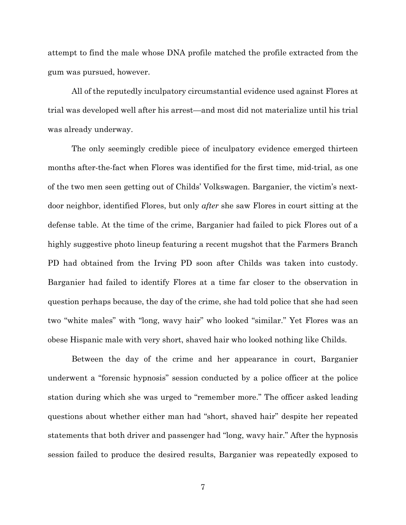attempt to find the male whose DNA profile matched the profile extracted from the gum was pursued, however.

All of the reputedly inculpatory circumstantial evidence used against Flores at trial was developed well after his arrest—and most did not materialize until his trial was already underway.

The only seemingly credible piece of inculpatory evidence emerged thirteen months after-the-fact when Flores was identified for the first time, mid-trial, as one of the two men seen getting out of Childs' Volkswagen. Barganier, the victim's nextdoor neighbor, identified Flores, but only *after* she saw Flores in court sitting at the defense table. At the time of the crime, Barganier had failed to pick Flores out of a highly suggestive photo lineup featuring a recent mugshot that the Farmers Branch PD had obtained from the Irving PD soon after Childs was taken into custody. Barganier had failed to identify Flores at a time far closer to the observation in question perhaps because, the day of the crime, she had told police that she had seen two "white males" with "long, wavy hair" who looked "similar." Yet Flores was an obese Hispanic male with very short, shaved hair who looked nothing like Childs.

Between the day of the crime and her appearance in court, Barganier underwent a "forensic hypnosis" session conducted by a police officer at the police station during which she was urged to "remember more." The officer asked leading questions about whether either man had "short, shaved hair" despite her repeated statements that both driver and passenger had "long, wavy hair." After the hypnosis session failed to produce the desired results, Barganier was repeatedly exposed to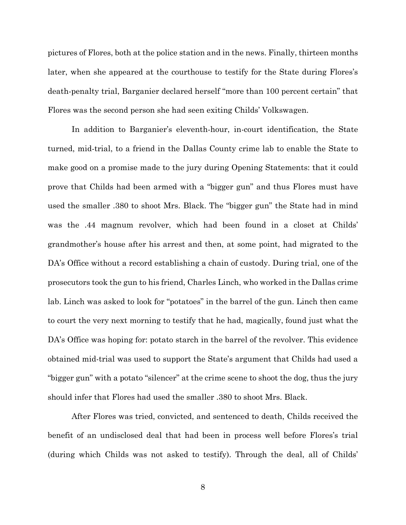pictures of Flores, both at the police station and in the news. Finally, thirteen months later, when she appeared at the courthouse to testify for the State during Flores's death-penalty trial, Barganier declared herself "more than 100 percent certain" that Flores was the second person she had seen exiting Childs' Volkswagen.

In addition to Barganier's eleventh-hour, in-court identification, the State turned, mid-trial, to a friend in the Dallas County crime lab to enable the State to make good on a promise made to the jury during Opening Statements: that it could prove that Childs had been armed with a "bigger gun" and thus Flores must have used the smaller .380 to shoot Mrs. Black. The "bigger gun" the State had in mind was the .44 magnum revolver, which had been found in a closet at Childs' grandmother's house after his arrest and then, at some point, had migrated to the DA's Office without a record establishing a chain of custody. During trial, one of the prosecutors took the gun to his friend, Charles Linch, who worked in the Dallas crime lab. Linch was asked to look for "potatoes" in the barrel of the gun. Linch then came to court the very next morning to testify that he had, magically, found just what the DA's Office was hoping for: potato starch in the barrel of the revolver. This evidence obtained mid-trial was used to support the State's argument that Childs had used a "bigger gun" with a potato "silencer" at the crime scene to shoot the dog, thus the jury should infer that Flores had used the smaller .380 to shoot Mrs. Black.

After Flores was tried, convicted, and sentenced to death, Childs received the benefit of an undisclosed deal that had been in process well before Flores's trial (during which Childs was not asked to testify). Through the deal, all of Childs'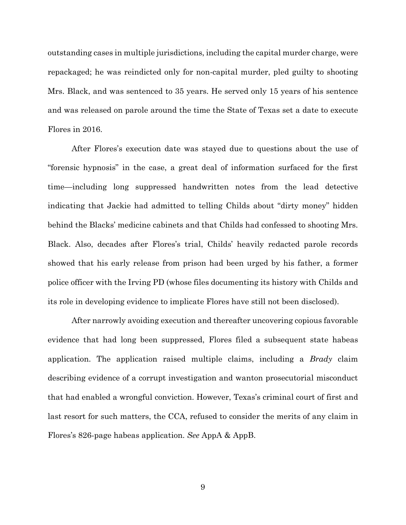outstanding cases in multiple jurisdictions, including the capital murder charge, were repackaged; he was reindicted only for non-capital murder, pled guilty to shooting Mrs. Black, and was sentenced to 35 years. He served only 15 years of his sentence and was released on parole around the time the State of Texas set a date to execute Flores in 2016.

After Flores's execution date was stayed due to questions about the use of "forensic hypnosis" in the case, a great deal of information surfaced for the first time—including long suppressed handwritten notes from the lead detective indicating that Jackie had admitted to telling Childs about "dirty money" hidden behind the Blacks' medicine cabinets and that Childs had confessed to shooting Mrs. Black. Also, decades after Flores's trial, Childs' heavily redacted parole records showed that his early release from prison had been urged by his father, a former police officer with the Irving PD (whose files documenting its history with Childs and its role in developing evidence to implicate Flores have still not been disclosed).

After narrowly avoiding execution and thereafter uncovering copious favorable evidence that had long been suppressed, Flores filed a subsequent state habeas application. The application raised multiple claims, including a *Brady* claim describing evidence of a corrupt investigation and wanton prosecutorial misconduct that had enabled a wrongful conviction. However, Texas's criminal court of first and last resort for such matters, the CCA, refused to consider the merits of any claim in Flores's 826-page habeas application. *See* AppA & AppB.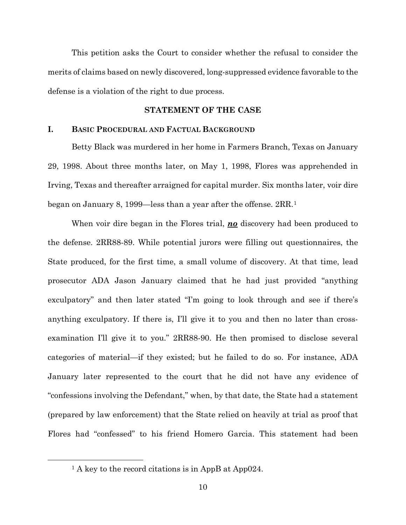This petition asks the Court to consider whether the refusal to consider the merits of claims based on newly discovered, long-suppressed evidence favorable to the defense is a violation of the right to due process.

### **STATEMENT OF THE CASE**

### <span id="page-17-1"></span><span id="page-17-0"></span>**I. BASIC PROCEDURAL AND FACTUAL BACKGROUND**

Betty Black was murdered in her home in Farmers Branch, Texas on January 29, 1998. About three months later, on May 1, 1998, Flores was apprehended in Irving, Texas and thereafter arraigned for capital murder. Six months later, voir dire began on January 8, 1999—less than a year after the offense. 2RR.[1](#page-17-2)

When voir dire began in the Flores trial, *no* discovery had been produced to the defense. 2RR88-89. While potential jurors were filling out questionnaires, the State produced, for the first time, a small volume of discovery. At that time, lead prosecutor ADA Jason January claimed that he had just provided "anything exculpatory" and then later stated "I'm going to look through and see if there's anything exculpatory. If there is, I'll give it to you and then no later than crossexamination I'll give it to you." 2RR88-90. He then promised to disclose several categories of material—if they existed; but he failed to do so. For instance, ADA January later represented to the court that he did not have any evidence of "confessions involving the Defendant," when, by that date, the State had a statement (prepared by law enforcement) that the State relied on heavily at trial as proof that Flores had "confessed" to his friend Homero Garcia. This statement had been

<span id="page-17-2"></span><sup>&</sup>lt;sup>1</sup> A key to the record citations is in AppB at App024.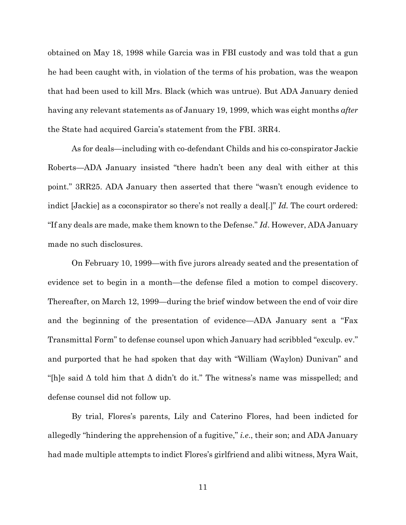obtained on May 18, 1998 while Garcia was in FBI custody and was told that a gun he had been caught with, in violation of the terms of his probation, was the weapon that had been used to kill Mrs. Black (which was untrue). But ADA January denied having any relevant statements as of January 19, 1999, which was eight months *after*  the State had acquired Garcia's statement from the FBI. 3RR4.

As for deals—including with co-defendant Childs and his co-conspirator Jackie Roberts—ADA January insisted "there hadn't been any deal with either at this point." 3RR25. ADA January then asserted that there "wasn't enough evidence to indict [Jackie] as a coconspirator so there's not really a deal[.]" *Id.* The court ordered: "If any deals are made, make them known to the Defense." *Id*. However, ADA January made no such disclosures.

On February 10, 1999—with five jurors already seated and the presentation of evidence set to begin in a month—the defense filed a motion to compel discovery. Thereafter, on March 12, 1999—during the brief window between the end of voir dire and the beginning of the presentation of evidence—ADA January sent a "Fax Transmittal Form" to defense counsel upon which January had scribbled "exculp. ev." and purported that he had spoken that day with "William (Waylon) Dunivan" and "[h]e said  $\Delta$  told him that  $\Delta$  didn't do it." The witness's name was misspelled; and defense counsel did not follow up.

By trial, Flores's parents, Lily and Caterino Flores, had been indicted for allegedly "hindering the apprehension of a fugitive," *i.e*., their son; and ADA January had made multiple attempts to indict Flores's girlfriend and alibi witness, Myra Wait,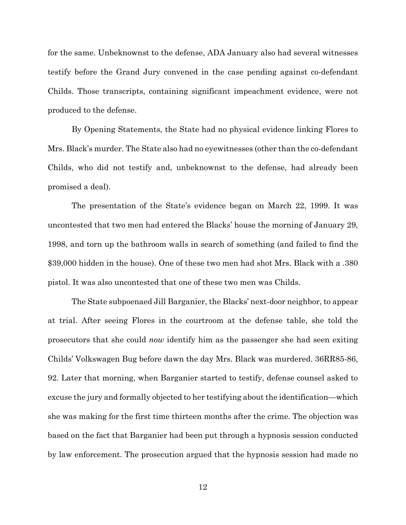for the same. Unbeknownst to the defense, ADA January also had several witnesses testify before the Grand Jury convened in the case pending against co-defendant Childs. Those transcripts, containing significant impeachment evidence, were not produced to the defense.

By Opening Statements, the State had no physical evidence linking Flores to Mrs. Black's murder. The State also had no eyewitnesses (other than the co-defendant Childs, who did not testify and, unbeknownst to the defense, had already been promised a deal).

The presentation of the State's evidence began on March 22, 1999. It was uncontested that two men had entered the Blacks' house the morning of January 29, 1998, and torn up the bathroom walls in search of something (and failed to find the \$39,000 hidden in the house). One of these two men had shot Mrs. Black with a .380 pistol. It was also uncontested that one of these two men was Childs.

The State subpoenaed Jill Barganier, the Blacks' next-door neighbor, to appear at trial. After seeing Flores in the courtroom at the defense table, she told the prosecutors that she could *now* identify him as the passenger she had seen exiting Childs' Volkswagen Bug before dawn the day Mrs. Black was murdered. 36RR85-86, 92. Later that morning, when Barganier started to testify, defense counsel asked to excuse the jury and formally objected to her testifying about the identification—which she was making for the first time thirteen months after the crime. The objection was based on the fact that Barganier had been put through a hypnosis session conducted by law enforcement. The prosecution argued that the hypnosis session had made no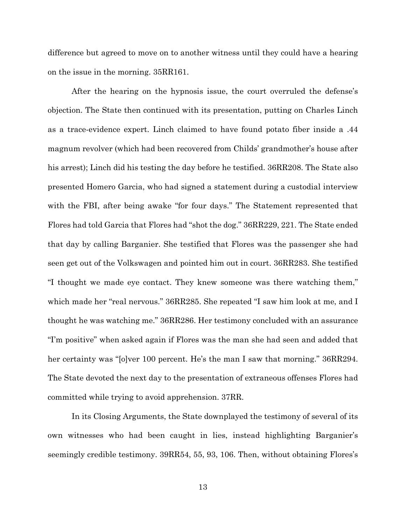difference but agreed to move on to another witness until they could have a hearing on the issue in the morning. 35RR161.

After the hearing on the hypnosis issue, the court overruled the defense's objection. The State then continued with its presentation, putting on Charles Linch as a trace-evidence expert. Linch claimed to have found potato fiber inside a .44 magnum revolver (which had been recovered from Childs' grandmother's house after his arrest); Linch did his testing the day before he testified. 36RR208. The State also presented Homero Garcia, who had signed a statement during a custodial interview with the FBI, after being awake "for four days." The Statement represented that Flores had told Garcia that Flores had "shot the dog." 36RR229, 221. The State ended that day by calling Barganier. She testified that Flores was the passenger she had seen get out of the Volkswagen and pointed him out in court. 36RR283. She testified "I thought we made eye contact. They knew someone was there watching them," which made her "real nervous." 36RR285. She repeated "I saw him look at me, and I thought he was watching me." 36RR286. Her testimony concluded with an assurance "I'm positive" when asked again if Flores was the man she had seen and added that her certainty was "[o]ver 100 percent. He's the man I saw that morning." 36RR294. The State devoted the next day to the presentation of extraneous offenses Flores had committed while trying to avoid apprehension. 37RR.

In its Closing Arguments, the State downplayed the testimony of several of its own witnesses who had been caught in lies, instead highlighting Barganier's seemingly credible testimony. 39RR54, 55, 93, 106. Then, without obtaining Flores's

13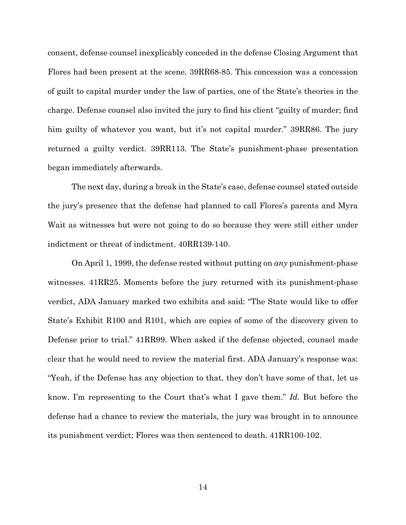consent, defense counsel inexplicably conceded in the defense Closing Argument that Flores had been present at the scene. 39RR68-85. This concession was a concession of guilt to capital murder under the law of parties, one of the State's theories in the charge. Defense counsel also invited the jury to find his client "guilty of murder; find him guilty of whatever you want, but it's not capital murder." 39RR86. The jury returned a guilty verdict. 39RR113. The State's punishment-phase presentation began immediately afterwards.

The next day, during a break in the State's case, defense counsel stated outside the jury's presence that the defense had planned to call Flores's parents and Myra Wait as witnesses but were not going to do so because they were still either under indictment or threat of indictment. 40RR139-140.

On April 1, 1999, the defense rested without putting on *any* punishment-phase witnesses. 41RR25. Moments before the jury returned with its punishment-phase verdict, ADA January marked two exhibits and said: "The State would like to offer State's Exhibit R100 and R101, which are copies of some of the discovery given to Defense prior to trial." 41RR99. When asked if the defense objected, counsel made clear that he would need to review the material first. ADA January's response was: "Yeah, if the Defense has any objection to that, they don't have some of that, let us know. I'm representing to the Court that's what I gave them." *Id.* But before the defense had a chance to review the materials, the jury was brought in to announce its punishment verdict; Flores was then sentenced to death. 41RR100-102.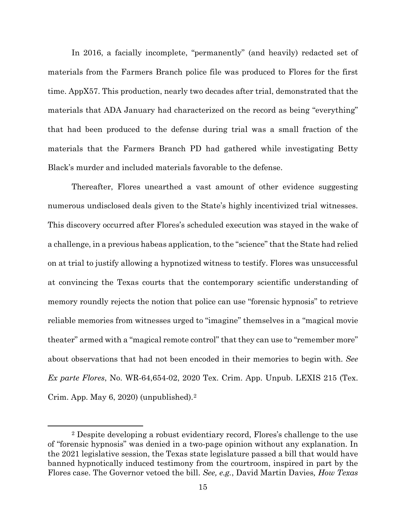In 2016, a facially incomplete, "permanently" (and heavily) redacted set of materials from the Farmers Branch police file was produced to Flores for the first time. AppX57. This production, nearly two decades after trial, demonstrated that the materials that ADA January had characterized on the record as being "everything" that had been produced to the defense during trial was a small fraction of the materials that the Farmers Branch PD had gathered while investigating Betty Black's murder and included materials favorable to the defense.

Thereafter, Flores unearthed a vast amount of other evidence suggesting numerous undisclosed deals given to the State's highly incentivized trial witnesses. This discovery occurred after Flores's scheduled execution was stayed in the wake of a challenge, in a previous habeas application, to the "science" that the State had relied on at trial to justify allowing a hypnotized witness to testify. Flores was unsuccessful at convincing the Texas courts that the contemporary scientific understanding of memory roundly rejects the notion that police can use "forensic hypnosis" to retrieve reliable memories from witnesses urged to "imagine" themselves in a "magical movie theater" armed with a "magical remote control" that they can use to "remember more" about observations that had not been encoded in their memories to begin with. *See Ex parte Flores*, No. WR-64,654-02, 2020 Tex. Crim. App. Unpub. LEXIS 215 (Tex. Crim. App. May 6, 2020) (unpublished).[2](#page-22-0)

<span id="page-22-0"></span><sup>2</sup> Despite developing a robust evidentiary record, Flores's challenge to the use of "forensic hypnosis" was denied in a two-page opinion without any explanation. In the 2021 legislative session, the Texas state legislature passed a bill that would have banned hypnotically induced testimony from the courtroom, inspired in part by the Flores case. The Governor vetoed the bill. *See, e.g.*, David Martin Davies*, How Texas*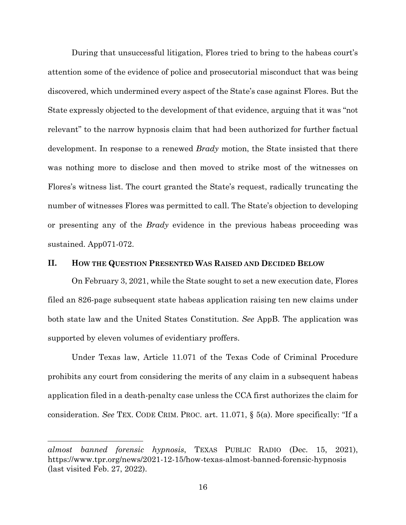During that unsuccessful litigation, Flores tried to bring to the habeas court's attention some of the evidence of police and prosecutorial misconduct that was being discovered, which undermined every aspect of the State's case against Flores. But the State expressly objected to the development of that evidence, arguing that it was "not relevant" to the narrow hypnosis claim that had been authorized for further factual development. In response to a renewed *Brady* motion, the State insisted that there was nothing more to disclose and then moved to strike most of the witnesses on Flores's witness list. The court granted the State's request, radically truncating the number of witnesses Flores was permitted to call. The State's objection to developing or presenting any of the *Brady* evidence in the previous habeas proceeding was sustained. App071-072.

#### <span id="page-23-0"></span>**II. HOW THE QUESTION PRESENTED WAS RAISED AND DECIDED BELOW**

On February 3, 2021, while the State sought to set a new execution date, Flores filed an 826-page subsequent state habeas application raising ten new claims under both state law and the United States Constitution. *See* AppB. The application was supported by eleven volumes of evidentiary proffers.

Under Texas law, Article 11.071 of the Texas Code of Criminal Procedure prohibits any court from considering the merits of any claim in a subsequent habeas application filed in a death-penalty case unless the CCA first authorizes the claim for consideration. *See* TEX. CODE CRIM. PROC. art. 11.071, § 5(a). More specifically: "If a

*almost banned forensic hypnosis*, TEXAS PUBLIC RADIO (Dec. 15, 2021), https://www.tpr.org/news/2021-12-15/how-texas-almost-banned-forensic-hypnosis (last visited Feb. 27, 2022).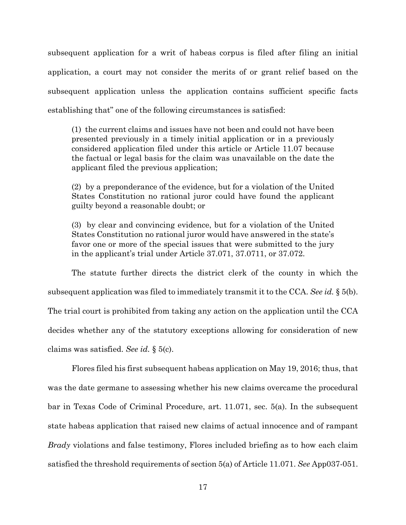subsequent application for a writ of habeas corpus is filed after filing an initial application, a court may not consider the merits of or grant relief based on the subsequent application unless the application contains sufficient specific facts establishing that" one of the following circumstances is satisfied:

(1) the current claims and issues have not been and could not have been presented previously in a timely initial application or in a previously considered application filed under this article or Article 11.07 because the factual or legal basis for the claim was unavailable on the date the applicant filed the previous application;

(2) by a preponderance of the evidence, but for a violation of the United States Constitution no rational juror could have found the applicant guilty beyond a reasonable doubt; or

(3) by clear and convincing evidence, but for a violation of the United States Constitution no rational juror would have answered in the state's favor one or more of the special issues that were submitted to the jury in the applicant's trial under Article 37.071, 37.0711, or 37.072.

The statute further directs the district clerk of the county in which the subsequent application was filed to immediately transmit it to the CCA. *See id.* § 5(b). The trial court is prohibited from taking any action on the application until the CCA decides whether any of the statutory exceptions allowing for consideration of new claims was satisfied. *See id.* § 5(c).

Flores filed his first subsequent habeas application on May 19, 2016; thus, that was the date germane to assessing whether his new claims overcame the procedural bar in Texas Code of Criminal Procedure, art. 11.071, sec. 5(a). In the subsequent state habeas application that raised new claims of actual innocence and of rampant *Brady* violations and false testimony, Flores included briefing as to how each claim satisfied the threshold requirements of section 5(a) of Article 11.071. *See* App037-051.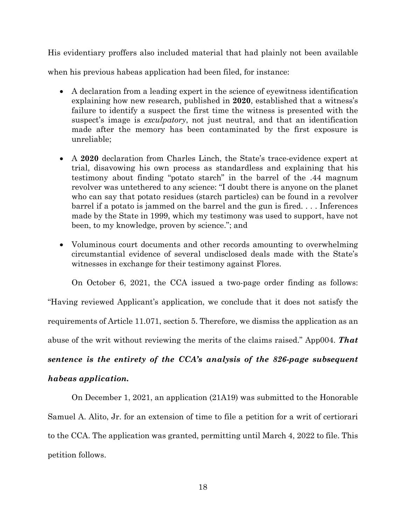His evidentiary proffers also included material that had plainly not been available

when his previous habeas application had been filed, for instance:

- A declaration from a leading expert in the science of eyewitness identification explaining how new research, published in **2020**, established that a witness's failure to identify a suspect the first time the witness is presented with the suspect's image is *exculpatory*, not just neutral, and that an identification made after the memory has been contaminated by the first exposure is unreliable;
- A **2020** declaration from Charles Linch, the State's trace-evidence expert at trial, disavowing his own process as standardless and explaining that his testimony about finding "potato starch" in the barrel of the .44 magnum revolver was untethered to any science: "I doubt there is anyone on the planet who can say that potato residues (starch particles) can be found in a revolver barrel if a potato is jammed on the barrel and the gun is fired. . . . Inferences made by the State in 1999, which my testimony was used to support, have not been, to my knowledge, proven by science."; and
- Voluminous court documents and other records amounting to overwhelming circumstantial evidence of several undisclosed deals made with the State's witnesses in exchange for their testimony against Flores.

On October 6, 2021, the CCA issued a two-page order finding as follows:

"Having reviewed Applicant's application, we conclude that it does not satisfy the

requirements of Article 11.071, section 5. Therefore, we dismiss the application as an

abuse of the writ without reviewing the merits of the claims raised." App004. *That*

## *sentence is the entirety of the CCA's analysis of the 826-page subsequent*

## *habeas application.*

On December 1, 2021, an application (21A19) was submitted to the Honorable Samuel A. Alito, Jr. for an extension of time to file a petition for a writ of certiorari to the CCA. The application was granted, permitting until March 4, 2022 to file. This petition follows.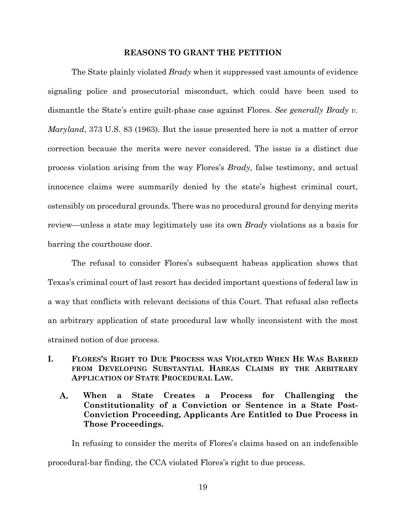#### **REASONS TO GRANT THE PETITION**

<span id="page-26-0"></span>The State plainly violated *Brady* when it suppressed vast amounts of evidence signaling police and prosecutorial misconduct, which could have been used to dismantle the State's entire guilt-phase case against Flores. *See generally Brady v. Maryland*, 373 U.S. 83 (1963). But the issue presented here is not a matter of error correction because the merits were never considered. The issue is a distinct due process violation arising from the way Flores's *Brady,* false testimony, and actual innocence claims were summarily denied by the state's highest criminal court, ostensibly on procedural grounds. There was no procedural ground for denying merits review—unless a state may legitimately use its own *Brady* violations as a basis for barring the courthouse door.

The refusal to consider Flores's subsequent habeas application shows that Texas's criminal court of last resort has decided important questions of federal law in a way that conflicts with relevant decisions of this Court. That refusal also reflects an arbitrary application of state procedural law wholly inconsistent with the most strained notion of due process.

- <span id="page-26-2"></span><span id="page-26-1"></span>**I. FLORES'S RIGHT TO DUE PROCESS WAS VIOLATED WHEN HE WAS BARRED FROM DEVELOPING SUBSTANTIAL HABEAS CLAIMS BY THE ARBITRARY APPLICATION OF STATE PROCEDURAL LAW.**
	- A. **When a State Creates a Process for Challenging the Constitutionality of a Conviction or Sentence in a State Post-Conviction Proceeding, Applicants Are Entitled to Due Process in Those Proceedings.**

In refusing to consider the merits of Flores's claims based on an indefensible procedural-bar finding, the CCA violated Flores's right to due process.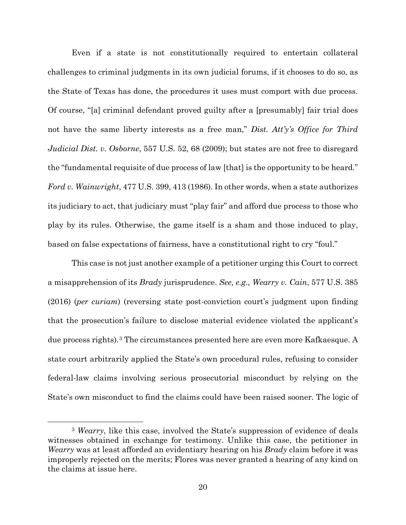Even if a state is not constitutionally required to entertain collateral challenges to criminal judgments in its own judicial forums, if it chooses to do so, as the State of Texas has done, the procedures it uses must comport with due process. Of course, "[a] criminal defendant proved guilty after a [presumably] fair trial does not have the same liberty interests as a free man," *Dist. Att'y's Office for Third Judicial Dist. v. Osborne*, 557 U.S. 52, 68 (2009); but states are not free to disregard the "fundamental requisite of due process of law [that] is the opportunity to be heard." *Ford v. Wainwright*, 477 U.S. 399, 413 (1986). In other words, when a state authorizes its judiciary to act, that judiciary must "play fair" and afford due process to those who play by its rules. Otherwise, the game itself is a sham and those induced to play, based on false expectations of fairness, have a constitutional right to cry "foul."

This case is not just another example of a petitioner urging this Court to correct a misapprehension of its *Brady* jurisprudence. *See, e.g., Wearry v. Cain*, 577 U.S. 385 (2016) (*per curiam*) (reversing state post-conviction court's judgment upon finding that the prosecution's failure to disclose material evidence violated the applicant's due process rights).[3](#page-27-0) The circumstances presented here are even more Kafkaesque. A state court arbitrarily applied the State's own procedural rules, refusing to consider federal-law claims involving serious prosecutorial misconduct by relying on the State's own misconduct to find the claims could have been raised sooner. The logic of

<span id="page-27-0"></span><sup>3</sup> *Wearry*, like this case, involved the State's suppression of evidence of deals witnesses obtained in exchange for testimony. Unlike this case, the petitioner in *Wearry* was at least afforded an evidentiary hearing on his *Brady* claim before it was improperly rejected on the merits; Flores was never granted a hearing of any kind on the claims at issue here.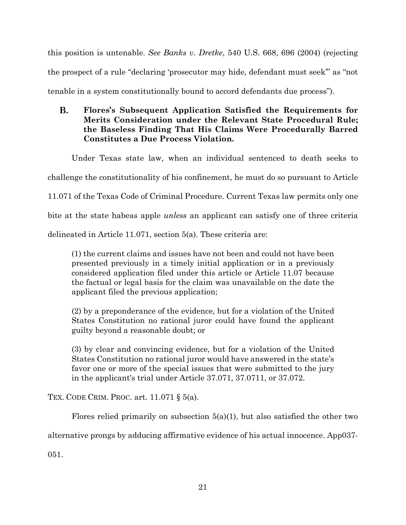this position is untenable. *See Banks v. Dretke*, 540 U.S. 668, 696 (2004) (rejecting the prospect of a rule "declaring 'prosecutor may hide, defendant must seek'" as "not tenable in a system constitutionally bound to accord defendants due process").

#### <span id="page-28-0"></span>**B. Flores's Subsequent Application Satisfied the Requirements for Merits Consideration under the Relevant State Procedural Rule; the Baseless Finding That His Claims Were Procedurally Barred Constitutes a Due Process Violation.**

Under Texas state law, when an individual sentenced to death seeks to challenge the constitutionality of his confinement, he must do so pursuant to Article 11.071 of the Texas Code of Criminal Procedure. Current Texas law permits only one

bite at the state habeas apple *unless* an applicant can satisfy one of three criteria

delineated in Article 11.071, section 5(a). These criteria are:

(1) the current claims and issues have not been and could not have been presented previously in a timely initial application or in a previously considered application filed under this article or Article 11.07 because the factual or legal basis for the claim was unavailable on the date the applicant filed the previous application;

(2) by a preponderance of the evidence, but for a violation of the United States Constitution no rational juror could have found the applicant guilty beyond a reasonable doubt; or

(3) by clear and convincing evidence, but for a violation of the United States Constitution no rational juror would have answered in the state's favor one or more of the special issues that were submitted to the jury in the applicant's trial under Article 37.071, 37.0711, or 37.072.

TEX. CODE CRIM. PROC. art. 11.071 § 5(a).

Flores relied primarily on subsection  $5(a)(1)$ , but also satisfied the other two

alternative prongs by adducing affirmative evidence of his actual innocence. App037-

051.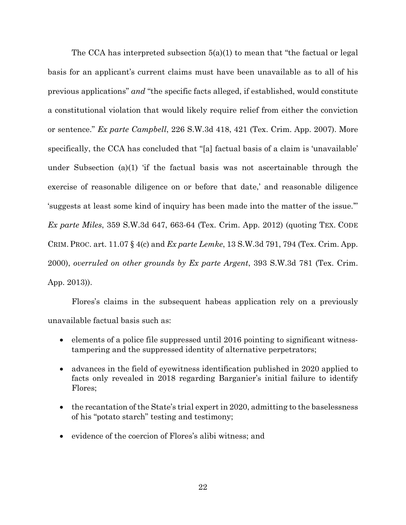The CCA has interpreted subsection 5(a)(1) to mean that "the factual or legal basis for an applicant's current claims must have been unavailable as to all of his previous applications" *and* "the specific facts alleged, if established, would constitute a constitutional violation that would likely require relief from either the conviction or sentence." *Ex parte Campbell*, 226 S.W.3d 418, 421 (Tex. Crim. App. 2007). More specifically, the CCA has concluded that "[a] factual basis of a claim is 'unavailable' under Subsection (a)(1) 'if the factual basis was not ascertainable through the exercise of reasonable diligence on or before that date,' and reasonable diligence 'suggests at least some kind of inquiry has been made into the matter of the issue.'" *Ex parte Miles*, 359 S.W.3d 647, 663-64 (Tex. Crim. App. 2012) (quoting TEX. CODE CRIM. PROC. art. 11.07 § 4(c) and *Ex parte Lemke*, 13 S.W.3d 791, 794 (Tex. Crim. App. 2000), *overruled on other grounds by Ex parte Argent*, 393 S.W.3d 781 (Tex. Crim. App. 2013)).

Flores's claims in the subsequent habeas application rely on a previously unavailable factual basis such as:

- elements of a police file suppressed until 2016 pointing to significant witnesstampering and the suppressed identity of alternative perpetrators;
- advances in the field of eyewitness identification published in 2020 applied to facts only revealed in 2018 regarding Barganier's initial failure to identify Flores;
- the recantation of the State's trial expert in 2020, admitting to the baselessness of his "potato starch" testing and testimony;
- evidence of the coercion of Flores's alibi witness; and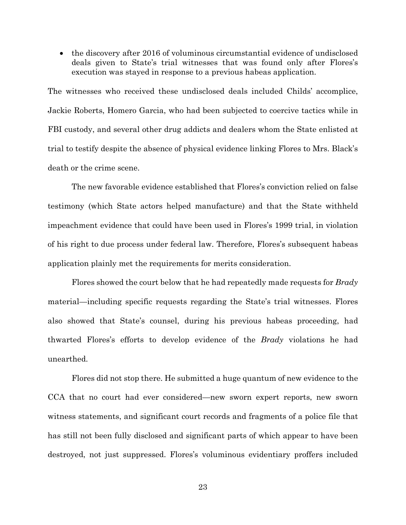• the discovery after 2016 of voluminous circumstantial evidence of undisclosed deals given to State's trial witnesses that was found only after Flores's execution was stayed in response to a previous habeas application.

The witnesses who received these undisclosed deals included Childs' accomplice, Jackie Roberts, Homero Garcia, who had been subjected to coercive tactics while in FBI custody, and several other drug addicts and dealers whom the State enlisted at trial to testify despite the absence of physical evidence linking Flores to Mrs. Black's death or the crime scene.

The new favorable evidence established that Flores's conviction relied on false testimony (which State actors helped manufacture) and that the State withheld impeachment evidence that could have been used in Flores's 1999 trial, in violation of his right to due process under federal law. Therefore, Flores's subsequent habeas application plainly met the requirements for merits consideration.

Flores showed the court below that he had repeatedly made requests for *Brady*  material—including specific requests regarding the State's trial witnesses. Flores also showed that State's counsel, during his previous habeas proceeding, had thwarted Flores's efforts to develop evidence of the *Brady* violations he had unearthed.

Flores did not stop there. He submitted a huge quantum of new evidence to the CCA that no court had ever considered—new sworn expert reports, new sworn witness statements, and significant court records and fragments of a police file that has still not been fully disclosed and significant parts of which appear to have been destroyed, not just suppressed. Flores's voluminous evidentiary proffers included

23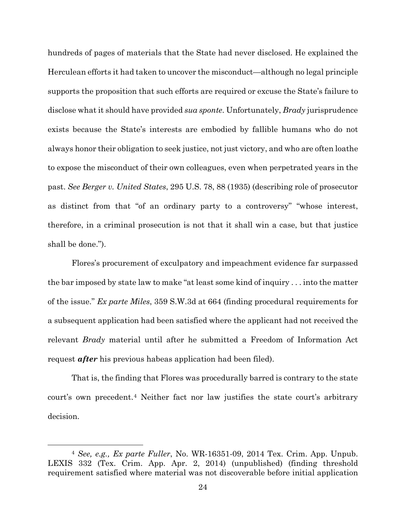hundreds of pages of materials that the State had never disclosed. He explained the Herculean efforts it had taken to uncover the misconduct—although no legal principle supports the proposition that such efforts are required or excuse the State's failure to disclose what it should have provided *sua sponte*. Unfortunately, *Brady* jurisprudence exists because the State's interests are embodied by fallible humans who do not always honor their obligation to seek justice, not just victory, and who are often loathe to expose the misconduct of their own colleagues, even when perpetrated years in the past. *See Berger v. United States*, 295 U.S. 78, 88 (1935) (describing role of prosecutor as distinct from that "of an ordinary party to a controversy" "whose interest, therefore, in a criminal prosecution is not that it shall win a case, but that justice shall be done.").

Flores's procurement of exculpatory and impeachment evidence far surpassed the bar imposed by state law to make "at least some kind of inquiry . . . into the matter of the issue." *Ex parte Miles*, 359 S.W.3d at 664 (finding procedural requirements for a subsequent application had been satisfied where the applicant had not received the relevant *Brady* material until after he submitted a Freedom of Information Act request *after* his previous habeas application had been filed).

That is, the finding that Flores was procedurally barred is contrary to the state court's own precedent.[4](#page-31-0) Neither fact nor law justifies the state court's arbitrary decision.

<span id="page-31-0"></span><sup>4</sup> *See, e.g., Ex parte Fuller*, No. WR-16351-09, 2014 Tex. Crim. App. Unpub. LEXIS 332 (Tex. Crim. App. Apr. 2, 2014) (unpublished) (finding threshold requirement satisfied where material was not discoverable before initial application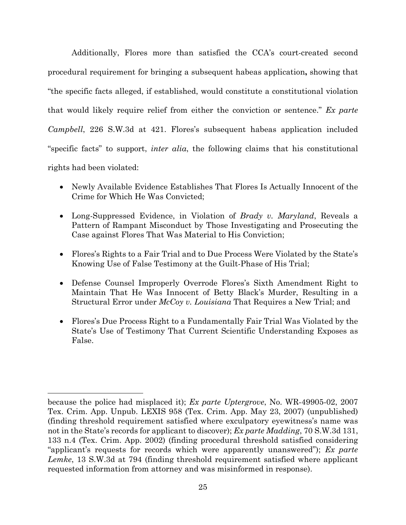Additionally, Flores more than satisfied the CCA's court-created second procedural requirement for bringing a subsequent habeas application**,** showing that "the specific facts alleged, if established, would constitute a constitutional violation that would likely require relief from either the conviction or sentence." *Ex parte Campbell*, 226 S.W.3d at 421. Flores's subsequent habeas application included "specific facts" to support, *inter alia*, the following claims that his constitutional rights had been violated:

- Newly Available Evidence Establishes That Flores Is Actually Innocent of the Crime for Which He Was Convicted;
- Long-Suppressed Evidence, in Violation of *Brady v. Maryland*, Reveals a Pattern of Rampant Misconduct by Those Investigating and Prosecuting the Case against Flores That Was Material to His Conviction;
- Flores's Rights to a Fair Trial and to Due Process Were Violated by the State's Knowing Use of False Testimony at the Guilt-Phase of His Trial;
- Defense Counsel Improperly Overrode Flores's Sixth Amendment Right to Maintain That He Was Innocent of Betty Black's Murder, Resulting in a Structural Error under *McCoy v. Louisiana* That Requires a New Trial; and
- Flores's Due Process Right to a Fundamentally Fair Trial Was Violated by the State's Use of Testimony That Current Scientific Understanding Exposes as False.

because the police had misplaced it); *Ex parte Uptergrove*, No. WR-49905-02, 2007 Tex. Crim. App. Unpub. LEXIS 958 (Tex. Crim. App. May 23, 2007) (unpublished) (finding threshold requirement satisfied where exculpatory eyewitness's name was not in the State's records for applicant to discover); *Ex parte Madding*, 70 S.W.3d 131, 133 n.4 (Tex. Crim. App. 2002) (finding procedural threshold satisfied considering "applicant's requests for records which were apparently unanswered"); *Ex parte Lemke*, 13 S.W.3d at 794 (finding threshold requirement satisfied where applicant requested information from attorney and was misinformed in response).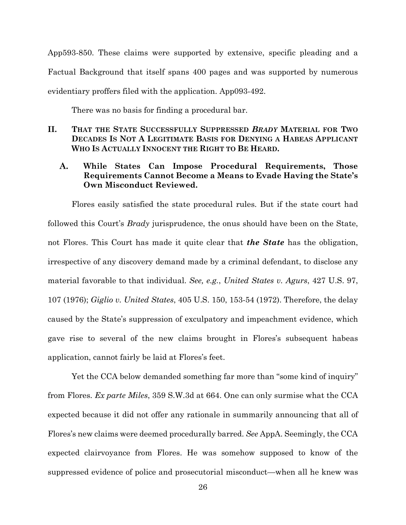App593-850. These claims were supported by extensive, specific pleading and a Factual Background that itself spans 400 pages and was supported by numerous evidentiary proffers filed with the application. App093-492.

There was no basis for finding a procedural bar.

<span id="page-33-0"></span>**II. THAT THE STATE SUCCESSFULLY SUPPRESSED** *BRADY* **MATERIAL FOR TWO DECADES IS NOT A LEGITIMATE BASIS FOR DENYING A HABEAS APPLICANT WHO IS ACTUALLY INNOCENT THE RIGHT TO BE HEARD.**

#### <span id="page-33-1"></span>A. **While States Can Impose Procedural Requirements, Those Requirements Cannot Become a Means to Evade Having the State's Own Misconduct Reviewed.**

Flores easily satisfied the state procedural rules. But if the state court had followed this Court's *Brady* jurisprudence, the onus should have been on the State, not Flores. This Court has made it quite clear that *the State* has the obligation, irrespective of any discovery demand made by a criminal defendant, to disclose any material favorable to that individual. *See, e.g.*, *United States v. Agurs*, 427 U.S. 97, 107 (1976); *Giglio v. United States*, 405 U.S. 150, 153-54 (1972). Therefore, the delay caused by the State's suppression of exculpatory and impeachment evidence, which gave rise to several of the new claims brought in Flores's subsequent habeas application, cannot fairly be laid at Flores's feet.

Yet the CCA below demanded something far more than "some kind of inquiry" from Flores. *Ex parte Miles*, 359 S.W.3d at 664. One can only surmise what the CCA expected because it did not offer any rationale in summarily announcing that all of Flores's new claims were deemed procedurally barred. *See* AppA. Seemingly, the CCA expected clairvoyance from Flores. He was somehow supposed to know of the suppressed evidence of police and prosecutorial misconduct—when all he knew was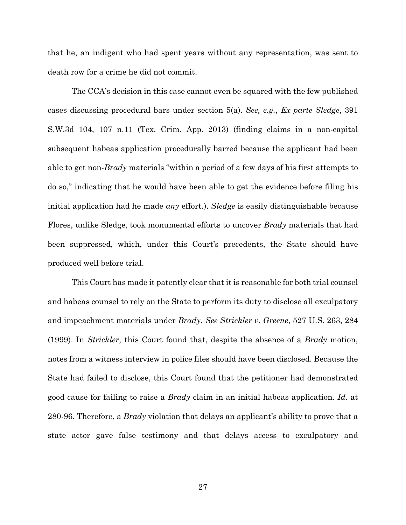that he, an indigent who had spent years without any representation, was sent to death row for a crime he did not commit.

The CCA's decision in this case cannot even be squared with the few published cases discussing procedural bars under section 5(a). *See, e.g.*, *Ex parte Sledge*, 391 S.W.3d 104, 107 n.11 (Tex. Crim. App. 2013) (finding claims in a non-capital subsequent habeas application procedurally barred because the applicant had been able to get non-*Brady* materials "within a period of a few days of his first attempts to do so," indicating that he would have been able to get the evidence before filing his initial application had he made *any* effort.). *Sledge* is easily distinguishable because Flores, unlike Sledge, took monumental efforts to uncover *Brady* materials that had been suppressed, which, under this Court's precedents, the State should have produced well before trial.

This Court has made it patently clear that it is reasonable for both trial counsel and habeas counsel to rely on the State to perform its duty to disclose all exculpatory and impeachment materials under *Brady*. *See Strickler v. Greene*, 527 U.S. 263, 284 (1999). In *Strickler*, this Court found that, despite the absence of a *Brady* motion, notes from a witness interview in police files should have been disclosed. Because the State had failed to disclose, this Court found that the petitioner had demonstrated good cause for failing to raise a *Brady* claim in an initial habeas application. *Id.* at 280-96. Therefore, a *Brady* violation that delays an applicant's ability to prove that a state actor gave false testimony and that delays access to exculpatory and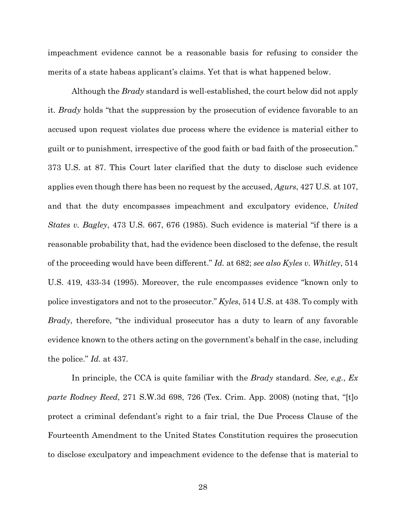impeachment evidence cannot be a reasonable basis for refusing to consider the merits of a state habeas applicant's claims. Yet that is what happened below.

Although the *Brady* standard is well-established, the court below did not apply it. *Brady* holds "that the suppression by the prosecution of evidence favorable to an accused upon request violates due process where the evidence is material either to guilt or to punishment, irrespective of the good faith or bad faith of the prosecution." 373 U.S. at 87. This Court later clarified that the duty to disclose such evidence applies even though there has been no request by the accused, *Agurs*, 427 U.S. at 107, and that the duty encompasses impeachment and exculpatory evidence, *United States v. Bagley*, 473 U.S. 667, 676 (1985). Such evidence is material "if there is a reasonable probability that, had the evidence been disclosed to the defense, the result of the proceeding would have been different." *Id.* at 682; *see also Kyles v. Whitley*, 514 U.S. 419, 433-34 (1995). Moreover, the rule encompasses evidence "known only to police investigators and not to the prosecutor." *Kyles*, 514 U.S. at 438. To comply with *Brady*, therefore, "the individual prosecutor has a duty to learn of any favorable evidence known to the others acting on the government's behalf in the case, including the police." *Id.* at 437.

In principle, the CCA is quite familiar with the *Brady* standard. *See, e.g.*, *Ex parte Rodney Reed*, 271 S.W.3d 698, 726 (Tex. Crim. App. 2008) (noting that, "[t]o protect a criminal defendant's right to a fair trial, the Due Process Clause of the Fourteenth Amendment to the United States Constitution requires the prosecution to disclose exculpatory and impeachment evidence to the defense that is material to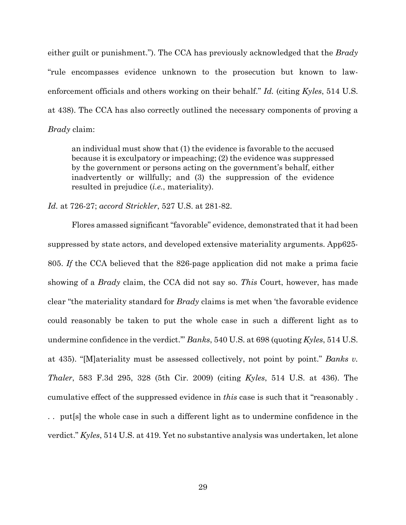either guilt or punishment."). The CCA has previously acknowledged that the *Brady*  "rule encompasses evidence unknown to the prosecution but known to lawenforcement officials and others working on their behalf." *Id.* (citing *Kyles*, 514 U.S. at 438). The CCA has also correctly outlined the necessary components of proving a *Brady* claim:

an individual must show that (1) the evidence is favorable to the accused because it is exculpatory or impeaching; (2) the evidence was suppressed by the government or persons acting on the government's behalf, either inadvertently or willfully; and (3) the suppression of the evidence resulted in prejudice (*i.e.*, materiality).

*Id.* at 726-27; *accord Strickler*, 527 U.S. at 281-82.

Flores amassed significant "favorable" evidence, demonstrated that it had been suppressed by state actors, and developed extensive materiality arguments. App625- 805. *If* the CCA believed that the 826-page application did not make a prima facie showing of a *Brady* claim, the CCA did not say so. *This* Court, however, has made clear "the materiality standard for *Brady* claims is met when 'the favorable evidence could reasonably be taken to put the whole case in such a different light as to undermine confidence in the verdict.'" *Banks*, 540 U.S. at 698 (quoting *Kyles*, 514 U.S. at 435). "[M]ateriality must be assessed collectively, not point by point." *Banks v. Thaler*, 583 F.3d 295, 328 (5th Cir. 2009) (citing *Kyles*, 514 U.S. at 436). The cumulative effect of the suppressed evidence in *this* case is such that it "reasonably . . . put[s] the whole case in such a different light as to undermine confidence in the verdict." *Kyles*, 514 U.S. at 419*.* Yet no substantive analysis was undertaken, let alone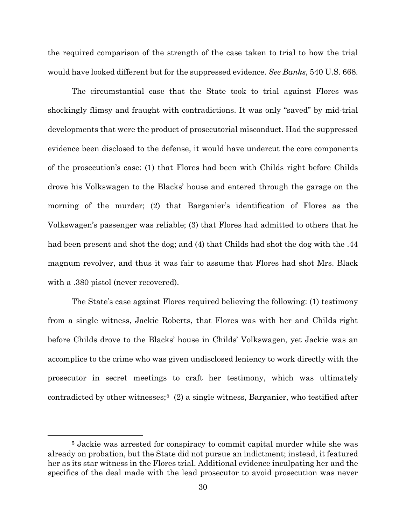the required comparison of the strength of the case taken to trial to how the trial would have looked different but for the suppressed evidence. *See Banks*, 540 U.S. 668.

The circumstantial case that the State took to trial against Flores was shockingly flimsy and fraught with contradictions. It was only "saved" by mid-trial developments that were the product of prosecutorial misconduct. Had the suppressed evidence been disclosed to the defense, it would have undercut the core components of the prosecution's case: (1) that Flores had been with Childs right before Childs drove his Volkswagen to the Blacks' house and entered through the garage on the morning of the murder; (2) that Barganier's identification of Flores as the Volkswagen's passenger was reliable; (3) that Flores had admitted to others that he had been present and shot the dog; and (4) that Childs had shot the dog with the .44 magnum revolver, and thus it was fair to assume that Flores had shot Mrs. Black with a .380 pistol (never recovered).

The State's case against Flores required believing the following: (1) testimony from a single witness, Jackie Roberts, that Flores was with her and Childs right before Childs drove to the Blacks' house in Childs' Volkswagen, yet Jackie was an accomplice to the crime who was given undisclosed leniency to work directly with the prosecutor in secret meetings to craft her testimony, which was ultimately contradicted by other witnesses;<sup>5</sup> (2) a single witness, Barganier, who testified after

<span id="page-37-0"></span><sup>5</sup> Jackie was arrested for conspiracy to commit capital murder while she was already on probation, but the State did not pursue an indictment; instead, it featured her as its star witness in the Flores trial. Additional evidence inculpating her and the specifics of the deal made with the lead prosecutor to avoid prosecution was never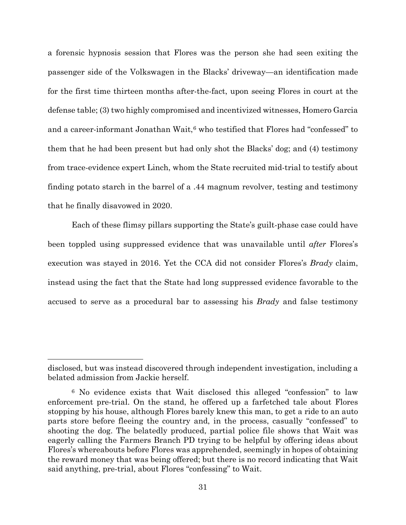a forensic hypnosis session that Flores was the person she had seen exiting the passenger side of the Volkswagen in the Blacks' driveway—an identification made for the first time thirteen months after-the-fact, upon seeing Flores in court at the defense table; (3) two highly compromised and incentivized witnesses, Homero Garcia and a career-informant Jonathan Wait,<sup>[6](#page-38-0)</sup> who testified that Flores had "confessed" to them that he had been present but had only shot the Blacks' dog; and (4) testimony from trace-evidence expert Linch, whom the State recruited mid-trial to testify about finding potato starch in the barrel of a .44 magnum revolver, testing and testimony that he finally disavowed in 2020.

Each of these flimsy pillars supporting the State's guilt-phase case could have been toppled using suppressed evidence that was unavailable until *after* Flores's execution was stayed in 2016. Yet the CCA did not consider Flores's *Brady* claim, instead using the fact that the State had long suppressed evidence favorable to the accused to serve as a procedural bar to assessing his *Brady* and false testimony

disclosed, but was instead discovered through independent investigation, including a belated admission from Jackie herself.

<span id="page-38-0"></span><sup>6</sup> No evidence exists that Wait disclosed this alleged "confession" to law enforcement pre-trial. On the stand, he offered up a farfetched tale about Flores stopping by his house, although Flores barely knew this man, to get a ride to an auto parts store before fleeing the country and, in the process, casually "confessed" to shooting the dog. The belatedly produced, partial police file shows that Wait was eagerly calling the Farmers Branch PD trying to be helpful by offering ideas about Flores's whereabouts before Flores was apprehended, seemingly in hopes of obtaining the reward money that was being offered; but there is no record indicating that Wait said anything, pre-trial, about Flores "confessing" to Wait.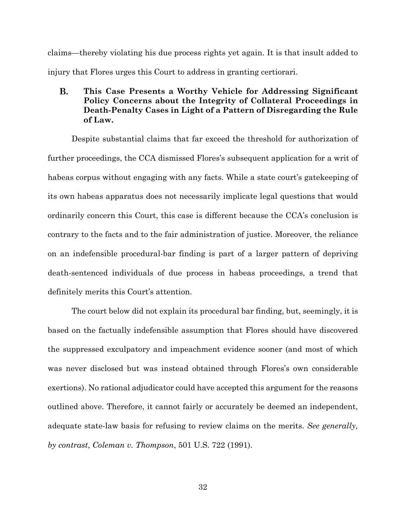claims—thereby violating his due process rights yet again. It is that insult added to injury that Flores urges this Court to address in granting certiorari.

#### <span id="page-39-0"></span>**B. This Case Presents a Worthy Vehicle for Addressing Significant Policy Concerns about the Integrity of Collateral Proceedings in Death-Penalty Cases in Light of a Pattern of Disregarding the Rule of Law.**

Despite substantial claims that far exceed the threshold for authorization of further proceedings, the CCA dismissed Flores's subsequent application for a writ of habeas corpus without engaging with any facts. While a state court's gatekeeping of its own habeas apparatus does not necessarily implicate legal questions that would ordinarily concern this Court, this case is different because the CCA's conclusion is contrary to the facts and to the fair administration of justice. Moreover, the reliance on an indefensible procedural-bar finding is part of a larger pattern of depriving death-sentenced individuals of due process in habeas proceedings, a trend that definitely merits this Court's attention.

The court below did not explain its procedural bar finding, but, seemingly, it is based on the factually indefensible assumption that Flores should have discovered the suppressed exculpatory and impeachment evidence sooner (and most of which was never disclosed but was instead obtained through Flores's own considerable exertions). No rational adjudicator could have accepted this argument for the reasons outlined above. Therefore, it cannot fairly or accurately be deemed an independent, adequate state-law basis for refusing to review claims on the merits. *See generally, by contrast*, *Coleman v. Thompson*, 501 U.S. 722 (1991).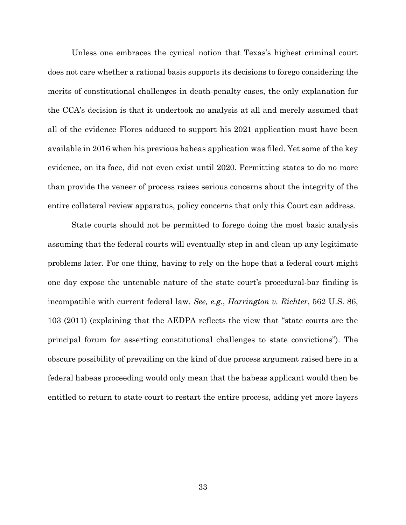Unless one embraces the cynical notion that Texas's highest criminal court does not care whether a rational basis supports its decisions to forego considering the merits of constitutional challenges in death-penalty cases, the only explanation for the CCA's decision is that it undertook no analysis at all and merely assumed that all of the evidence Flores adduced to support his 2021 application must have been available in 2016 when his previous habeas application was filed. Yet some of the key evidence, on its face, did not even exist until 2020. Permitting states to do no more than provide the veneer of process raises serious concerns about the integrity of the entire collateral review apparatus, policy concerns that only this Court can address.

State courts should not be permitted to forego doing the most basic analysis assuming that the federal courts will eventually step in and clean up any legitimate problems later. For one thing, having to rely on the hope that a federal court might one day expose the untenable nature of the state court's procedural-bar finding is incompatible with current federal law. *See, e.g.*, *Harrington v. Richter*, 562 U.S. 86, 103 (2011) (explaining that the AEDPA reflects the view that "state courts are the principal forum for asserting constitutional challenges to state convictions"). The obscure possibility of prevailing on the kind of due process argument raised here in a federal habeas proceeding would only mean that the habeas applicant would then be entitled to return to state court to restart the entire process, adding yet more layers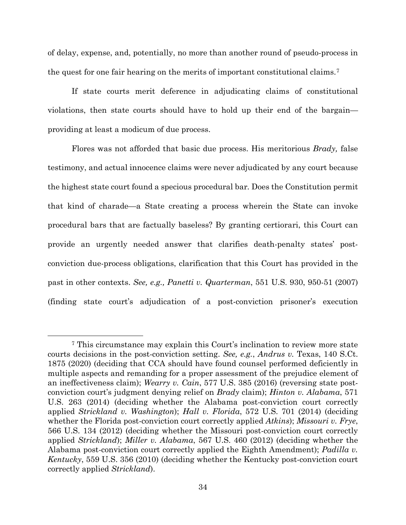of delay, expense, and, potentially, no more than another round of pseudo-process in the quest for one fair hearing on the merits of important constitutional claims.[7](#page-41-0)

If state courts merit deference in adjudicating claims of constitutional violations, then state courts should have to hold up their end of the bargain providing at least a modicum of due process.

Flores was not afforded that basic due process. His meritorious *Brady,* false testimony, and actual innocence claims were never adjudicated by any court because the highest state court found a specious procedural bar*.* Does the Constitution permit that kind of charade—a State creating a process wherein the State can invoke procedural bars that are factually baseless? By granting certiorari, this Court can provide an urgently needed answer that clarifies death-penalty states' postconviction due-process obligations, clarification that this Court has provided in the past in other contexts. *See, e.g., Panetti v. Quarterman*, 551 U.S. 930, 950-51 (2007) (finding state court's adjudication of a post-conviction prisoner's execution

<span id="page-41-0"></span><sup>7</sup> This circumstance may explain this Court's inclination to review more state courts decisions in the post-conviction setting. *See, e.g.*, *Andrus v.* Texas, 140 S.Ct. 1875 (2020) (deciding that CCA should have found counsel performed deficiently in multiple aspects and remanding for a proper assessment of the prejudice element of an ineffectiveness claim); *Wearry v. Cain*, 577 U.S. 385 (2016) (reversing state postconviction court's judgment denying relief on *Brady* claim); *Hinton v. Alabama*, 571 U.S. 263 (2014) (deciding whether the Alabama post-conviction court correctly applied *Strickland v. Washington*); *Hall v. Florida*, 572 U.S. 701 (2014) (deciding whether the Florida post-conviction court correctly applied *Atkins*); *Missouri v. Frye*, 566 U.S. 134 (2012) (deciding whether the Missouri post-conviction court correctly applied *Strickland*); *Miller v. Alabama*, 567 U.S. 460 (2012) (deciding whether the Alabama post-conviction court correctly applied the Eighth Amendment); *Padilla v. Kentucky*, 559 U.S. 356 (2010) (deciding whether the Kentucky post-conviction court correctly applied *Strickland*).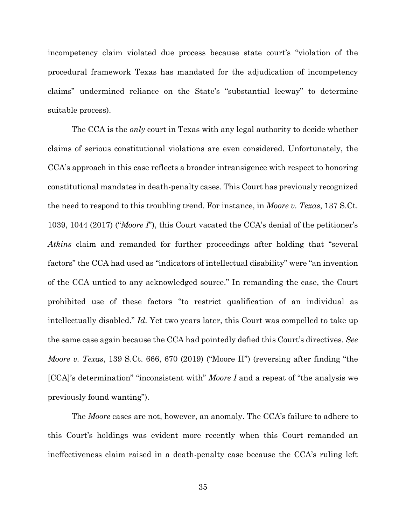incompetency claim violated due process because state court's "violation of the procedural framework Texas has mandated for the adjudication of incompetency claims" undermined reliance on the State's "substantial leeway" to determine suitable process).

The CCA is the *only* court in Texas with any legal authority to decide whether claims of serious constitutional violations are even considered. Unfortunately, the CCA's approach in this case reflects a broader intransigence with respect to honoring constitutional mandates in death-penalty cases. This Court has previously recognized the need to respond to this troubling trend. For instance, in *Moore v. Texas*, 137 S.Ct. 1039, 1044 (2017) ("*Moore I*"), this Court vacated the CCA's denial of the petitioner's *Atkins* claim and remanded for further proceedings after holding that "several factors" the CCA had used as "indicators of intellectual disability" were "an invention of the CCA untied to any acknowledged source." In remanding the case, the Court prohibited use of these factors "to restrict qualification of an individual as intellectually disabled." *Id.* Yet two years later, this Court was compelled to take up the same case again because the CCA had pointedly defied this Court's directives. *See Moore v. Texas*, 139 S.Ct. 666, 670 (2019) ("Moore II") (reversing after finding "the [CCA]'s determination" "inconsistent with" *Moore I* and a repeat of "the analysis we previously found wanting").

The *Moore* cases are not, however, an anomaly. The CCA's failure to adhere to this Court's holdings was evident more recently when this Court remanded an ineffectiveness claim raised in a death-penalty case because the CCA's ruling left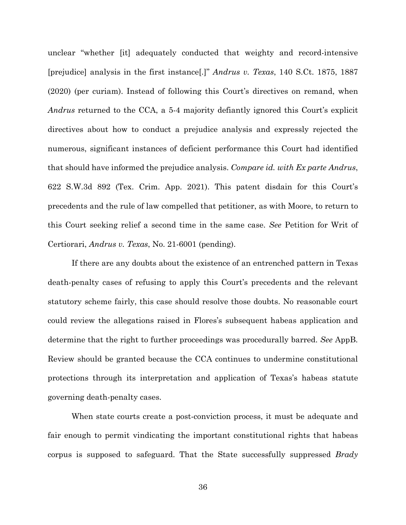unclear "whether [it] adequately conducted that weighty and record-intensive [prejudice] analysis in the first instance[.]" *Andrus v. Texas*, 140 S.Ct. 1875, 1887 (2020) (per curiam). Instead of following this Court's directives on remand, when *Andrus* returned to the CCA, a 5-4 majority defiantly ignored this Court's explicit directives about how to conduct a prejudice analysis and expressly rejected the numerous, significant instances of deficient performance this Court had identified that should have informed the prejudice analysis. *Compare id. with Ex parte Andrus*, 622 S.W.3d 892 (Tex. Crim. App. 2021). This patent disdain for this Court's precedents and the rule of law compelled that petitioner, as with Moore, to return to this Court seeking relief a second time in the same case. *See* Petition for Writ of Certiorari, *Andrus v. Texas*, No. 21-6001 (pending).

If there are any doubts about the existence of an entrenched pattern in Texas death-penalty cases of refusing to apply this Court's precedents and the relevant statutory scheme fairly, this case should resolve those doubts. No reasonable court could review the allegations raised in Flores's subsequent habeas application and determine that the right to further proceedings was procedurally barred. *See* AppB. Review should be granted because the CCA continues to undermine constitutional protections through its interpretation and application of Texas's habeas statute governing death-penalty cases.

When state courts create a post-conviction process, it must be adequate and fair enough to permit vindicating the important constitutional rights that habeas corpus is supposed to safeguard. That the State successfully suppressed *Brady*